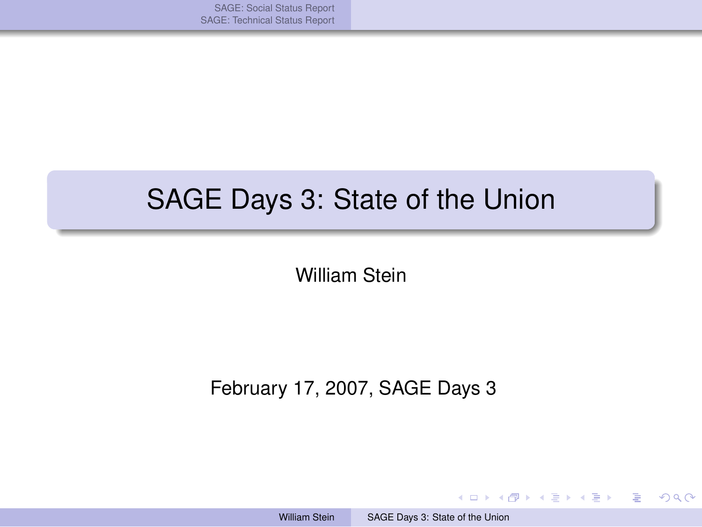[SAGE: Social Status Report](#page-1-0) [SAGE: Technical Status Report](#page-11-0)

#### SAGE Days 3: State of the Union

William Stein

February 17, 2007, SAGE Days 3

イロト イ押 トイヨ トイヨ トー

<span id="page-0-0"></span> $298$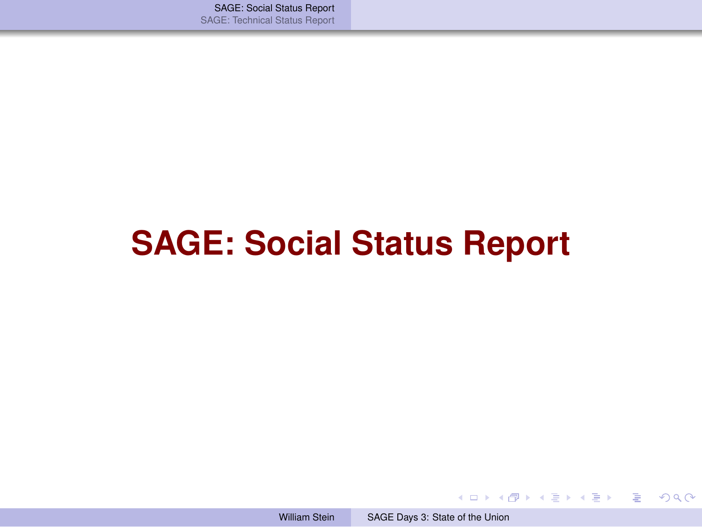[SAGE: Social Status Report](#page-1-0) [SAGE: Technical Status Report](#page-11-0)

# **SAGE: Social Status Report**

メロメメ 御 メメ きょく きょう

∍

<span id="page-1-0"></span> $298$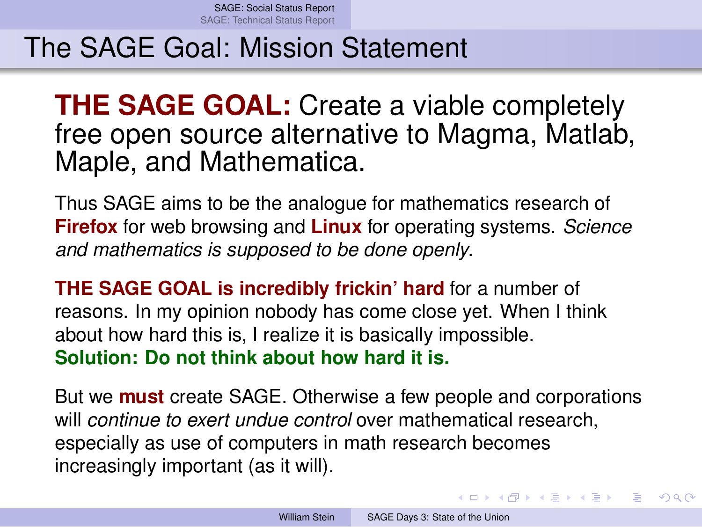#### The SAGE Goal: Mission Statement

**THE SAGE GOAL:** Create a viable completely free open source alternative to Magma, Matlab, Maple, and Mathematica.

Thus SAGE aims to be the analogue for mathematics research of **Firefox** for web browsing and **Linux** for operating systems. *Science and mathematics is supposed to be done openly*.

**THE SAGE GOAL is incredibly frickin' hard** for a number of reasons. In my opinion nobody has come close yet. When I think about how hard this is, I realize it is basically impossible. **Solution: Do not think about how hard it is.**

But we **must** create SAGE. Otherwise a few people and corporations will *continue to exert undue control* over mathematical research, especially as use of computers in math research becomes increasingly important (as it will).

**≮ロト ⊀何 ト ⊀ ヨ ト ⊀ ヨ ト** .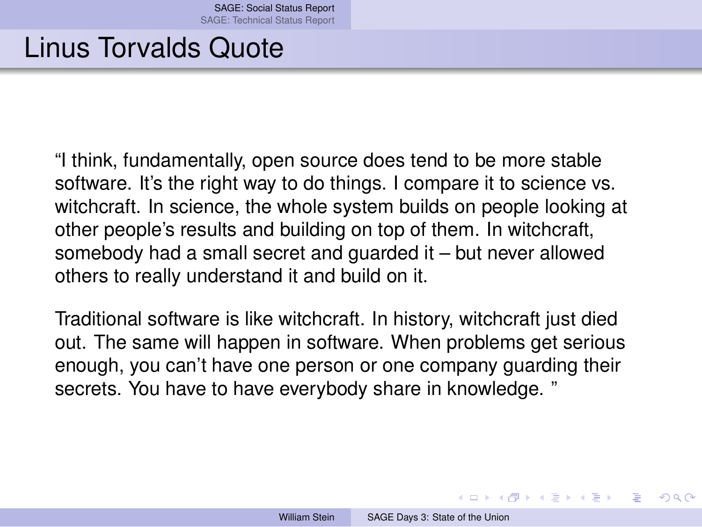#### Linus Torvalds Quote

"I think, fundamentally, open source does tend to be more stable software. It's the right way to do things. I compare it to science vs. witchcraft. In science, the whole system builds on people looking at other people's results and building on top of them. In witchcraft, somebody had a small secret and guarded it – but never allowed others to really understand it and build on it.

Traditional software is like witchcraft. In history, witchcraft just died out. The same will happen in software. When problems get serious enough, you can't have one person or one company guarding their secrets. You have to have everybody share in knowledge. "

イロト イ押ト イヨト イヨト

つひひ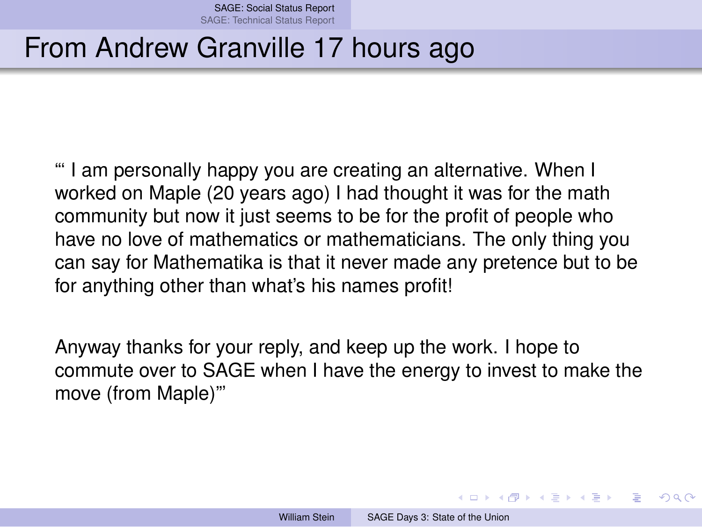#### From Andrew Granville 17 hours ago

"' I am personally happy you are creating an alternative. When I worked on Maple (20 years ago) I had thought it was for the math community but now it just seems to be for the profit of people who have no love of mathematics or mathematicians. The only thing you can say for Mathematika is that it never made any pretence but to be for anything other than what's his names profit!

Anyway thanks for your reply, and keep up the work. I hope to commute over to SAGE when I have the energy to invest to make the move (from Maple)"'

<span id="page-4-0"></span>イロト イ何 トイヨ トイヨ ト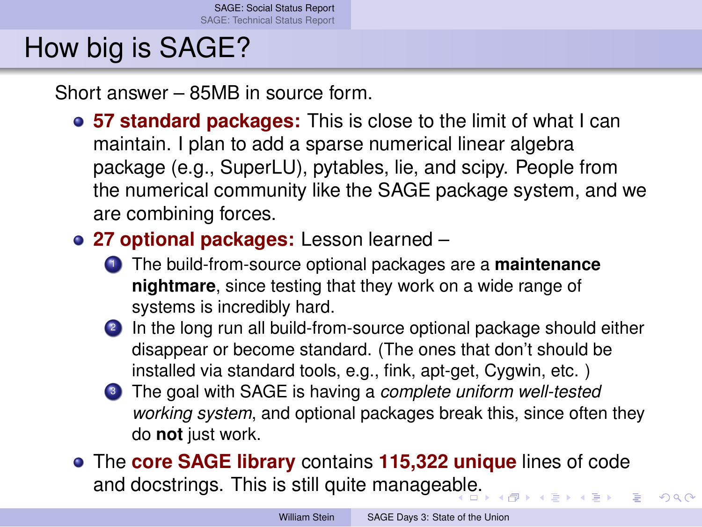# How big is SAGE?

Short answer – 85MB in source form.

- **57 standard packages:** This is close to the limit of what I can maintain. I plan to add a sparse numerical linear algebra package (e.g., SuperLU), pytables, lie, and scipy. People from the numerical community like the SAGE package system, and we are combining forces.
- **27 optional packages:** Lesson learned
	- <sup>1</sup> The build-from-source optional packages are a **maintenance nightmare**, since testing that they work on a wide range of systems is incredibly hard.
	- 2 In the long run all build-from-source optional package should either disappear or become standard. (The ones that don't should be installed via standard tools, e.g., fink, apt-get, Cygwin, etc. )
	- <sup>3</sup> The goal with SAGE is having a *complete uniform well-tested working system*, and optional packages break this, since often they do **not** just work.
- The **core SAGE library** contains **115,322 unique** lines of code and docstrings. This is still quite managea[ble](#page-4-0)[.](#page-6-0)

 $QQ$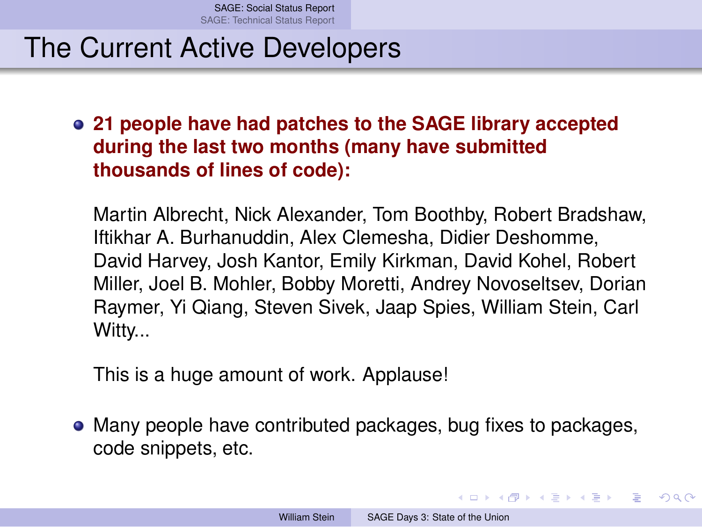#### The Current Active Developers

**21 people have had patches to the SAGE library accepted during the last two months (many have submitted thousands of lines of code):**

Martin Albrecht, Nick Alexander, Tom Boothby, Robert Bradshaw, Iftikhar A. Burhanuddin, Alex Clemesha, Didier Deshomme, David Harvey, Josh Kantor, Emily Kirkman, David Kohel, Robert Miller, Joel B. Mohler, Bobby Moretti, Andrey Novoseltsev, Dorian Raymer, Yi Qiang, Steven Sivek, Jaap Spies, William Stein, Carl Witty...

This is a huge amount of work. Applause!

Many people have contributed packages, bug fixes to packages, code snippets, etc.

<span id="page-6-0"></span>イロト イ何 トイヨ トイヨ トー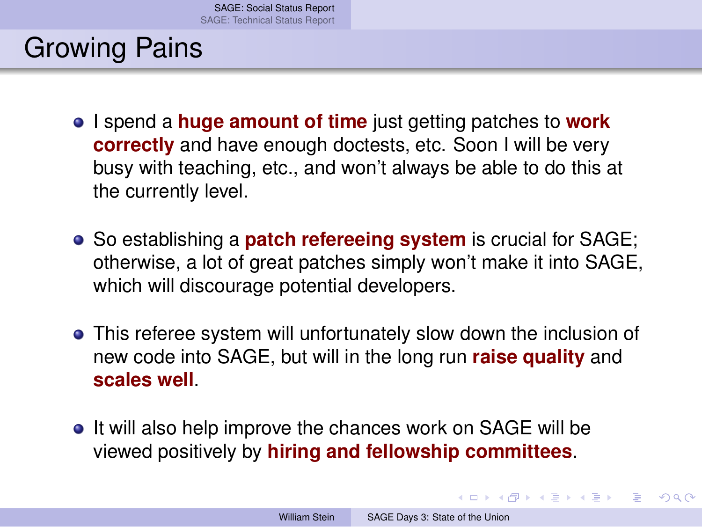## Growing Pains

- I spend a **huge amount of time** just getting patches to **work correctly** and have enough doctests, etc. Soon I will be very busy with teaching, etc., and won't always be able to do this at the currently level.
- So establishing a **patch refereeing system** is crucial for SAGE; otherwise, a lot of great patches simply won't make it into SAGE, which will discourage potential developers.
- This referee system will unfortunately slow down the inclusion of new code into SAGE, but will in the long run **raise quality** and **scales well**.
- It will also help improve the chances work on SAGE will be viewed positively by **hiring and fellowship committees**.

<span id="page-7-0"></span>イロト イ何 トイヨ トイヨ トー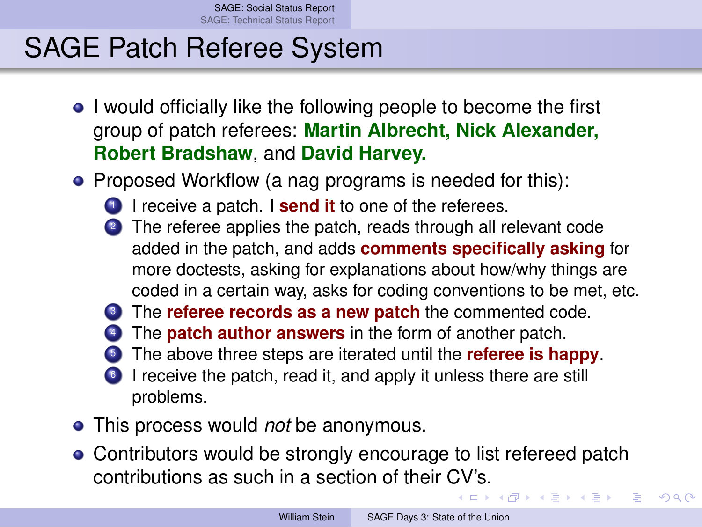[SAGE: Social Status Report](#page-1-0) [SAGE: Technical Status Report](#page-11-0)

#### SAGE Patch Referee System

- I would officially like the following people to become the first group of patch referees: **Martin Albrecht, Nick Alexander, Robert Bradshaw**, and **David Harvey.**
- Proposed Workflow (a nag programs is needed for this):
	- **1** I receive a patch. I **send it** to one of the referees.
	- <sup>2</sup> The referee applies the patch, reads through all relevant code added in the patch, and adds **comments specifically asking** for more doctests, asking for explanations about how/why things are coded in a certain way, asks for coding conventions to be met, etc.
	- **3** The **referee records as a new patch** the commented code.
	- The **patch author answers** in the form of another patch.
	- <sup>5</sup> The above three steps are iterated until the **referee is happy**.
	- <sup>6</sup> I receive the patch, read it, and apply it unless there are still problems.
- This process would *not* be anonymous.
- Contributors would be strongly encourage to list refereed patch contributions as such in a section of their [CV](#page-7-0)'[s.](#page-9-0)

←ロト ←何ト ←ヨト ←ヨト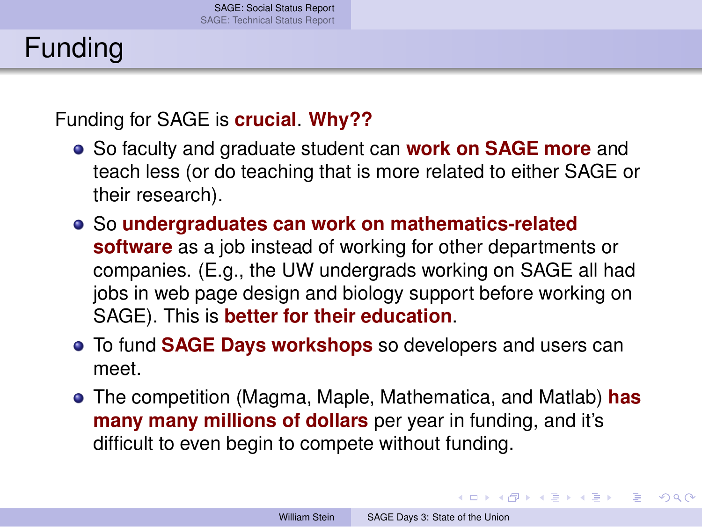# Funding

Funding for SAGE is **crucial**. **Why??**

- So faculty and graduate student can **work on SAGE more** and teach less (or do teaching that is more related to either SAGE or their research).
- So **undergraduates can work on mathematics-related software** as a job instead of working for other departments or companies. (E.g., the UW undergrads working on SAGE all had jobs in web page design and biology support before working on SAGE). This is **better for their education**.
- To fund **SAGE Days workshops** so developers and users can meet.
- The competition (Magma, Maple, Mathematica, and Matlab) **has many many millions of dollars** per year in funding, and it's difficult to even begin to compete without funding.

<span id="page-9-0"></span>イロト イ何 トイヨ トイヨ トー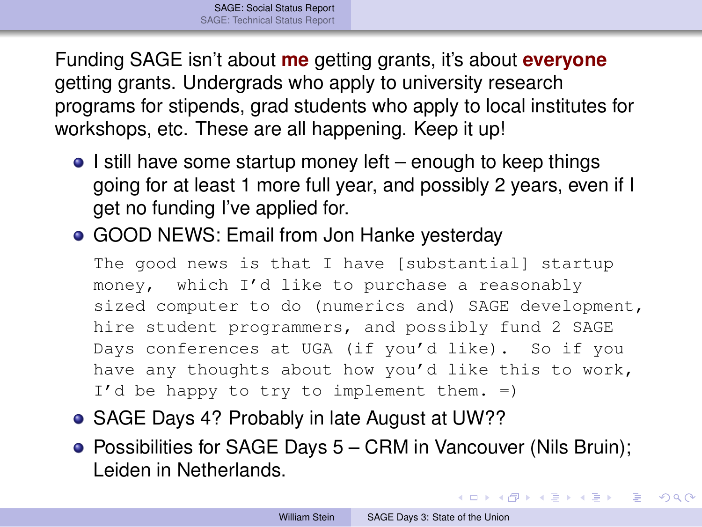Funding SAGE isn't about **me** getting grants, it's about **everyone** getting grants. Undergrads who apply to university research programs for stipends, grad students who apply to local institutes for workshops, etc. These are all happening. Keep it up!

- $\bullet$  I still have some startup money left enough to keep things going for at least 1 more full year, and possibly 2 years, even if I get no funding I've applied for.
- GOOD NEWS: Email from Jon Hanke yesterday

The good news is that I have [substantial] startup money, which I'd like to purchase a reasonably sized computer to do (numerics and) SAGE development, hire student programmers, and possibly fund 2 SAGE Days conferences at UGA (if you'd like). So if you have any thoughts about how you'd like this to work, I'd be happy to try to implement them. =)

- SAGE Days 4? Probably in late August at UW??
- Possibilities for SAGE Days 5 CRM in Vancouver (Nils Bruin); Leiden in Netherlands.

イロト イ何 トイヨ トイヨ トー ヨ

 $QQ$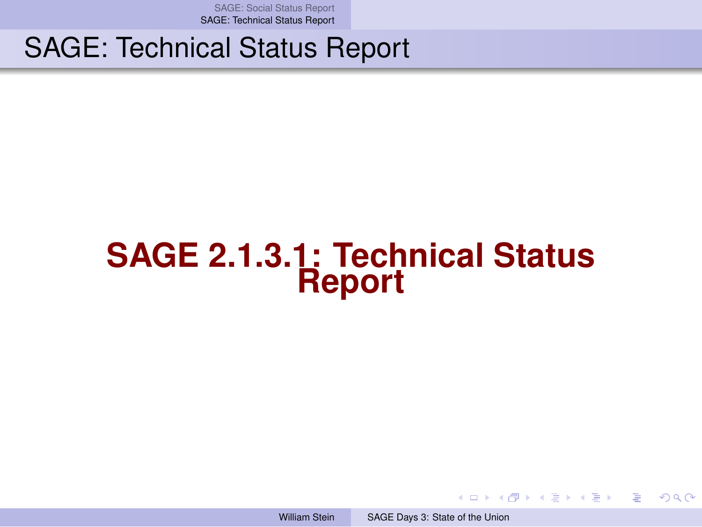[SAGE: Social Status Report](#page-1-0) [SAGE: Technical Status Report](#page-11-0)

#### SAGE: Technical Status Report

# **SAGE 2.1.3.1: Technical Status Report**

William Stein [SAGE Days 3: State of the Union](#page-0-0)

<span id="page-11-0"></span>イロト イ何 トイヨ トイヨ トー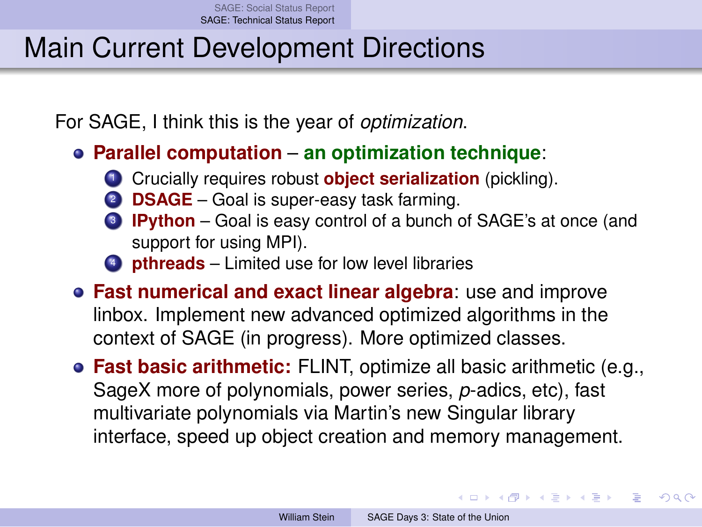## Main Current Development Directions

For SAGE, I think this is the year of *optimization*.

- **Parallel computation an optimization technique**:
	- **1** Crucially requires robust **object serialization** (pickling).
	- **DSAGE** Goal is super-easy task farming.
	- <sup>3</sup> **IPython** Goal is easy control of a bunch of SAGE's at once (and support for using MPI).
	- <sup>4</sup> **pthreads** Limited use for low level libraries
- **Fast numerical and exact linear algebra**: use and improve linbox. Implement new advanced optimized algorithms in the context of SAGE (in progress). More optimized classes.
- **Fast basic arithmetic:** FLINT, optimize all basic arithmetic (e.g., SageX more of polynomials, power series, *p*-adics, etc), fast multivariate polynomials via Martin's new Singular library interface, speed up object creation and memory management.

イロト イ押ト イヨト イヨト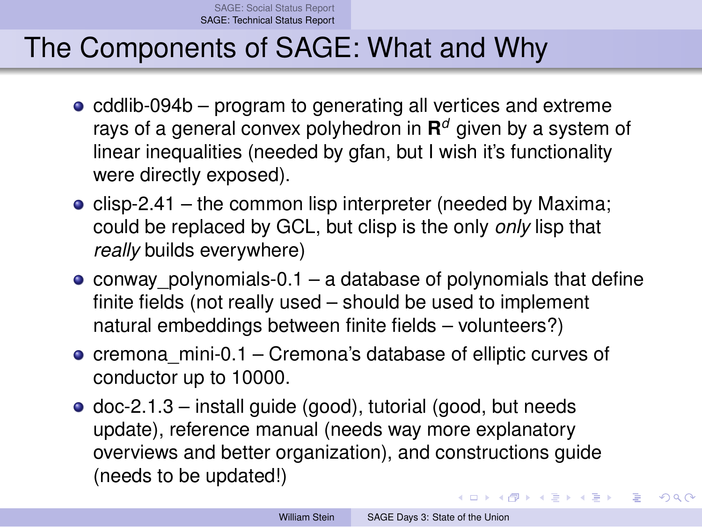[SAGE: Social Status Report](#page-1-0) [SAGE: Technical Status Report](#page-11-0)

## The Components of SAGE: What and Why

- $\bullet$  cddlib-094b program to generating all vertices and extreme rays of a general convex polyhedron in **R** *<sup>d</sup>* given by a system of linear inequalities (needed by gfan, but I wish it's functionality were directly exposed).
- clisp-2.41 the common lisp interpreter (needed by Maxima; could be replaced by GCL, but clisp is the only *only* lisp that *really* builds everywhere)
- conway polynomials-0.1 a database of polynomials that define finite fields (not really used – should be used to implement natural embeddings between finite fields – volunteers?)
- $\bullet$  cremona mini-0.1 Cremona's database of elliptic curves of conductor up to 10000.
- $\bullet$  doc-2.1.3 install guide (good), tutorial (good, but needs update), reference manual (needs way more explanatory overviews and better organization), and constructions guide (needs to be updated!)

イロト イ何 トイヨ トイヨ トー

 $QQ$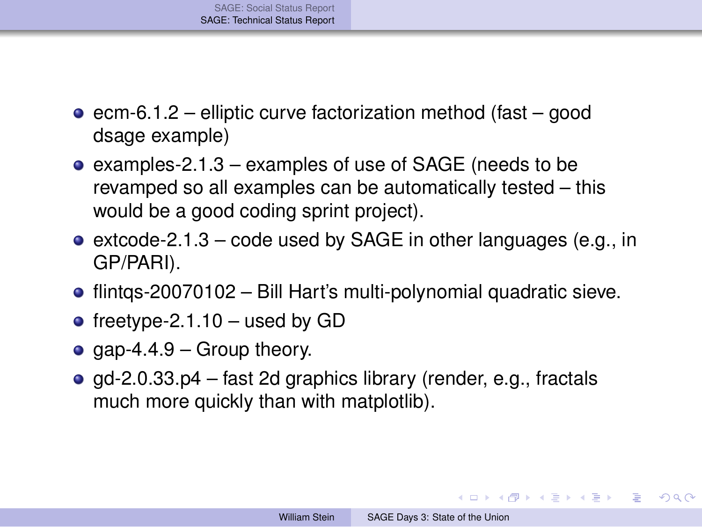- $\bullet$  ecm-6.1.2 elliptic curve factorization method (fast good dsage example)
- examples-2.1.3 examples of use of SAGE (needs to be revamped so all examples can be automatically tested – this would be a good coding sprint project).
- $\bullet$  extcode-2.1.3 code used by SAGE in other languages (e.g., in GP/PARI).
- flintqs-20070102 Bill Hart's multi-polynomial quadratic sieve.
- freetype-2.1.10 used by GD
- gap-4.4.9 Group theory.
- $\bullet$  gd-2.0.33.p4 fast 2d graphics library (render, e.g., fractals much more quickly than with matplotlib).

 $QQ$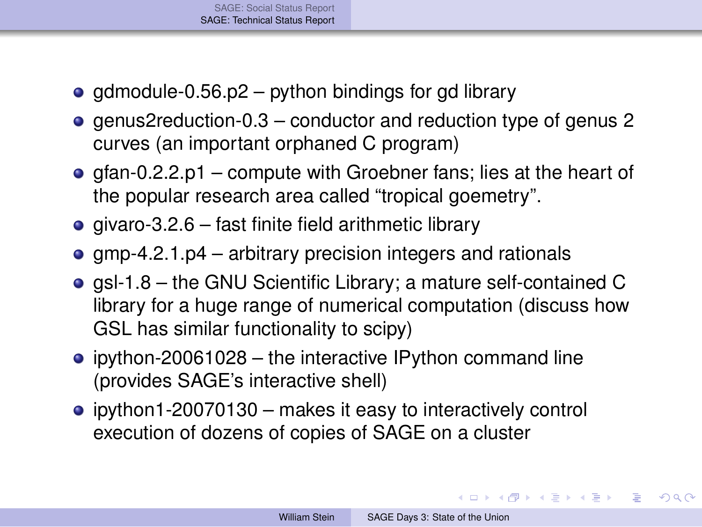- gdmodule-0.56.p2 python bindings for gd library
- genus2reduction-0.3 conductor and reduction type of genus 2 curves (an important orphaned C program)
- $\bullet$  gfan-0.2.2.p1 compute with Groebner fans; lies at the heart of the popular research area called "tropical goemetry".
- $\bullet$  givaro-3.2.6 fast finite field arithmetic library
- $qmp-4.2.1.p4$  arbitrary precision integers and rationals
- gsl-1.8 the GNU Scientific Library; a mature self-contained C library for a huge range of numerical computation (discuss how GSL has similar functionality to scipy)
- $\bullet$  ipython-20061028 the interactive IPython command line (provides SAGE's interactive shell)
- ipython1-20070130 makes it easy to interactively control execution of dozens of copies of SAGE on a cluster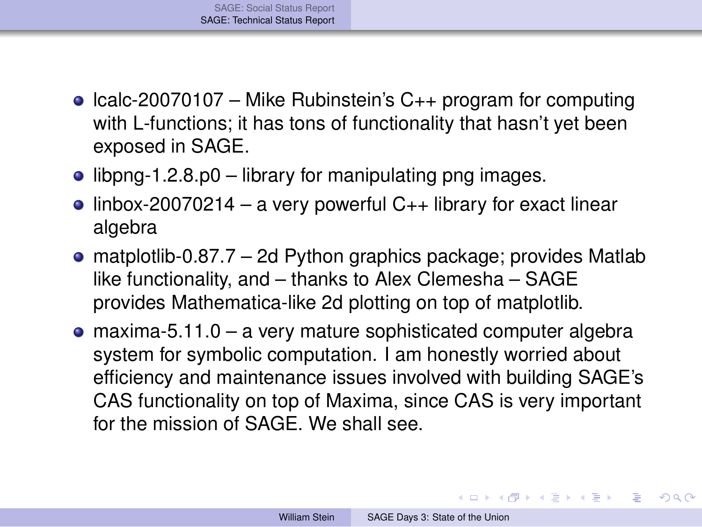- Icalc-20070107 Mike Rubinstein's  $C_{++}$  program for computing with L-functions; it has tons of functionality that hasn't yet been exposed in SAGE.
- $\bullet$  libpng-1.2.8.p0 library for manipulating png images.
- $\bullet$  linbox-20070214 a very powerful C<sub>++</sub> library for exact linear algebra
- matplotlib-0.87.7 2d Python graphics package; provides Matlab like functionality, and – thanks to Alex Clemesha – SAGE provides Mathematica-like 2d plotting on top of matplotlib.
- maxima-5.11.0 a very mature sophisticated computer algebra system for symbolic computation. I am honestly worried about efficiency and maintenance issues involved with building SAGE's CAS functionality on top of Maxima, since CAS is very important for the mission of SAGE. We shall see.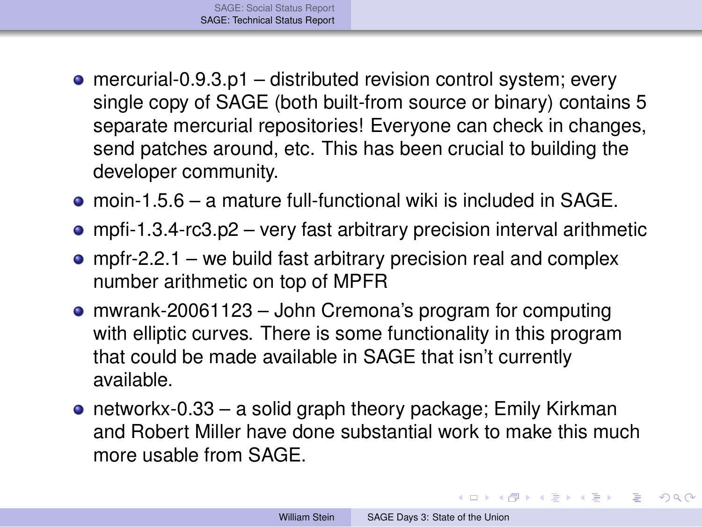- $\bullet$  mercurial-0.9.3.p1 distributed revision control system; every single copy of SAGE (both built-from source or binary) contains 5 separate mercurial repositories! Everyone can check in changes, send patches around, etc. This has been crucial to building the developer community.
- moin-1.5.6 a mature full-functional wiki is included in SAGE.
- mpfi-1.3.4-rc3.p2 very fast arbitrary precision interval arithmetic
- mpfr-2.2.1 we build fast arbitrary precision real and complex number arithmetic on top of MPFR
- mwrank-20061123 John Cremona's program for computing with elliptic curves. There is some functionality in this program that could be made available in SAGE that isn't currently available.
- networkx-0.33 a solid graph theory package; Emily Kirkman and Robert Miller have done substantial work to make this much more usable from SAGE.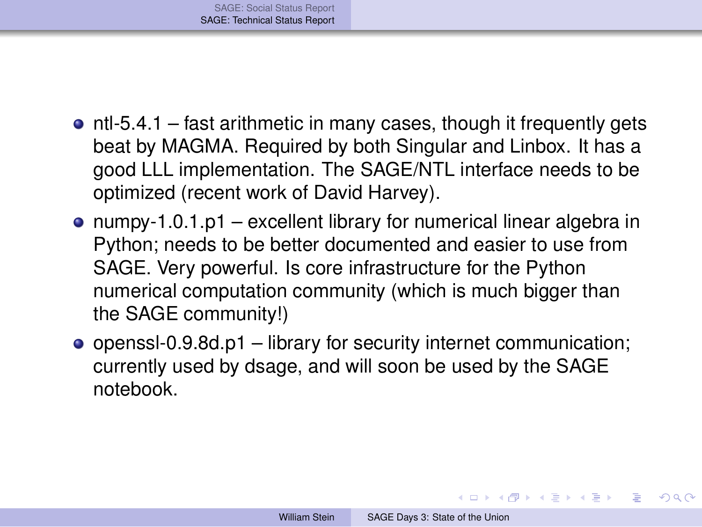- $\bullet$  ntl-5.4.1 fast arithmetic in many cases, though it frequently gets beat by MAGMA. Required by both Singular and Linbox. It has a good LLL implementation. The SAGE/NTL interface needs to be optimized (recent work of David Harvey).
- numpy-1.0.1.p1 excellent library for numerical linear algebra in Python; needs to be better documented and easier to use from SAGE. Very powerful. Is core infrastructure for the Python numerical computation community (which is much bigger than the SAGE community!)
- openssl-0.9.8d.p1 library for security internet communication; currently used by dsage, and will soon be used by the SAGE notebook.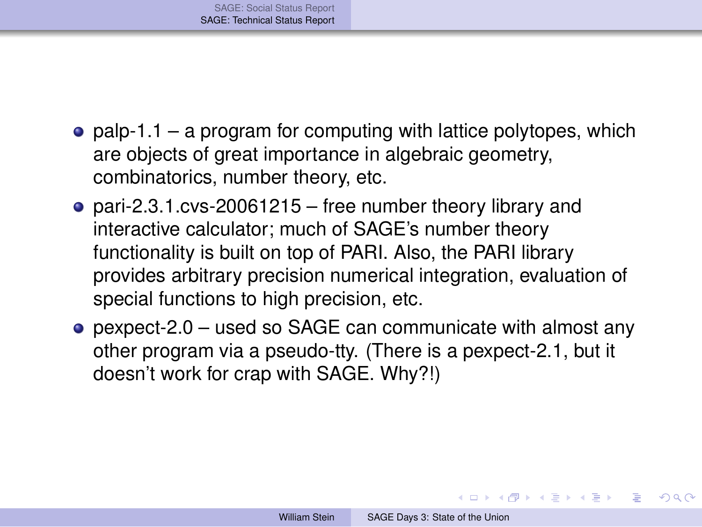- palp-1.1 a program for computing with lattice polytopes, which are objects of great importance in algebraic geometry, combinatorics, number theory, etc.
- pari-2.3.1.cvs-20061215 free number theory library and interactive calculator; much of SAGE's number theory functionality is built on top of PARI. Also, the PARI library provides arbitrary precision numerical integration, evaluation of special functions to high precision, etc.
- pexpect-2.0 used so SAGE can communicate with almost any other program via a pseudo-tty. (There is a pexpect-2.1, but it doesn't work for crap with SAGE. Why?!)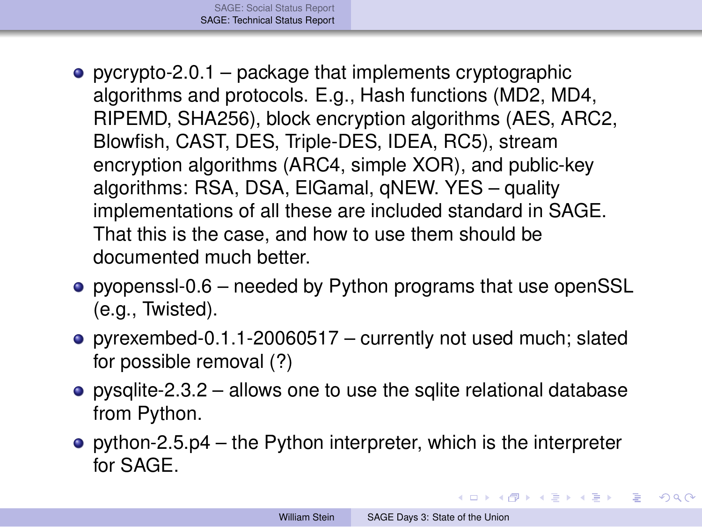- pycrypto-2.0.1 package that implements cryptographic algorithms and protocols. E.g., Hash functions (MD2, MD4, RIPEMD, SHA256), block encryption algorithms (AES, ARC2, Blowfish, CAST, DES, Triple-DES, IDEA, RC5), stream encryption algorithms (ARC4, simple XOR), and public-key algorithms: RSA, DSA, ElGamal, qNEW. YES – quality implementations of all these are included standard in SAGE. That this is the case, and how to use them should be documented much better.
- pyopenssl-0.6 needed by Python programs that use openSSL (e.g., Twisted).
- pyrexembed-0.1.1-20060517 currently not used much; slated for possible removal (?)
- pysqlite-2.3.2 allows one to use the sqlite relational database from Python.
- python-2.5.p4 the Python interpreter, which is the interpreter for SAGE.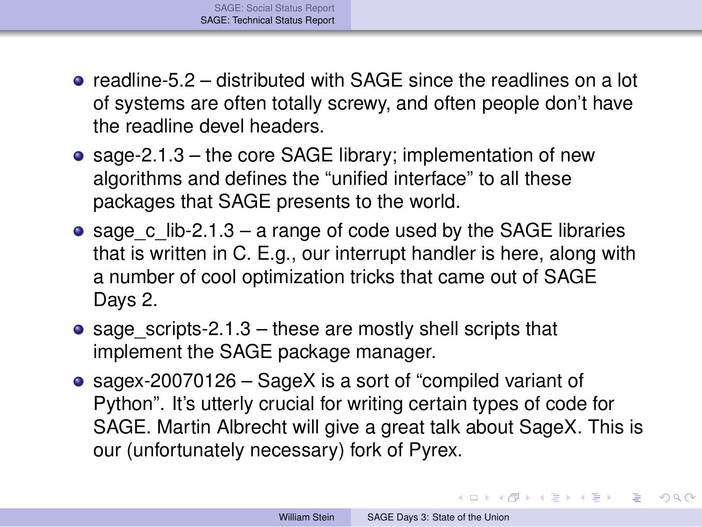- $\bullet$  readline-5.2 distributed with SAGE since the readlines on a lot of systems are often totally screwy, and often people don't have the readline devel headers.
- sage-2.1.3 the core SAGE library; implementation of new algorithms and defines the "unified interface" to all these packages that SAGE presents to the world.
- sage c lib-2.1.3 a range of code used by the SAGE libraries that is written in C. E.g., our interrupt handler is here, along with a number of cool optimization tricks that came out of SAGE Days 2.
- sage scripts-2.1.3 these are mostly shell scripts that implement the SAGE package manager.
- sagex-20070126 SageX is a sort of "compiled variant of Python". It's utterly crucial for writing certain types of code for SAGE. Martin Albrecht will give a great talk about SageX. This is our (unfortunately necessary) fork of Pyrex.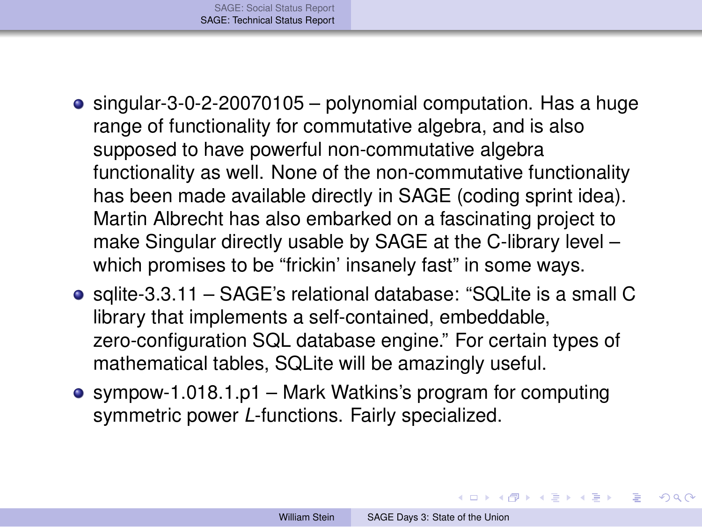- singular-3-0-2-20070105 polynomial computation. Has a huge range of functionality for commutative algebra, and is also supposed to have powerful non-commutative algebra functionality as well. None of the non-commutative functionality has been made available directly in SAGE (coding sprint idea). Martin Albrecht has also embarked on a fascinating project to make Singular directly usable by SAGE at the C-library level – which promises to be "frickin' insanely fast" in some ways.
- sqlite-3.3.11 SAGE's relational database: "SQLite is a small C library that implements a self-contained, embeddable, zero-configuration SQL database engine." For certain types of mathematical tables, SQLite will be amazingly useful.
- sympow-1.018.1.p1 Mark Watkins's program for computing symmetric power *L*-functions. Fairly specialized.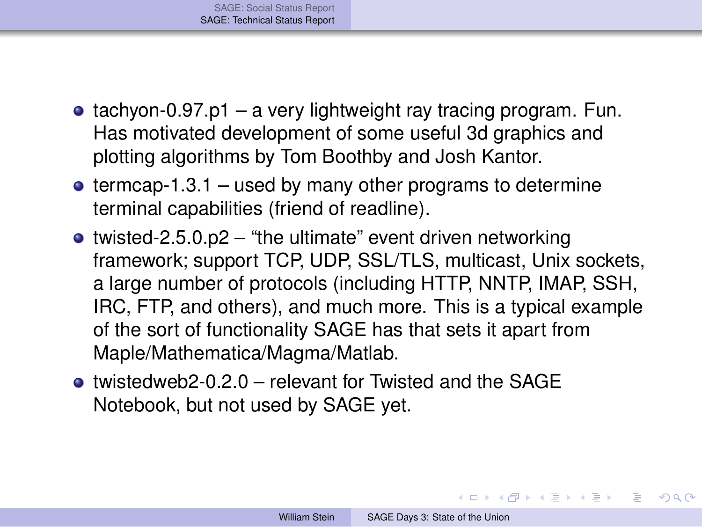- $\bullet$  tachyon-0.97.p1 a very lightweight ray tracing program. Fun. Has motivated development of some useful 3d graphics and plotting algorithms by Tom Boothby and Josh Kantor.
- $\bullet$  termcap-1.3.1 used by many other programs to determine terminal capabilities (friend of readline).
- twisted-2.5.0.p2 "the ultimate" event driven networking framework; support TCP, UDP, SSL/TLS, multicast, Unix sockets, a large number of protocols (including HTTP, NNTP, IMAP, SSH, IRC, FTP, and others), and much more. This is a typical example of the sort of functionality SAGE has that sets it apart from Maple/Mathematica/Magma/Matlab.
- twistedweb2-0.2.0 relevant for Twisted and the SAGE Notebook, but not used by SAGE yet.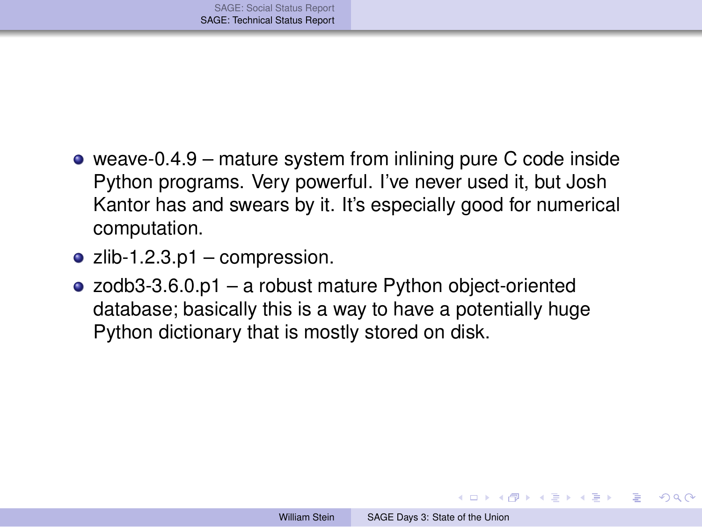- weave-0.4.9 mature system from inlining pure C code inside Python programs. Very powerful. I've never used it, but Josh Kantor has and swears by it. It's especially good for numerical computation.
- $\bullet$  zlib-1.2.3.p1 compression.
- zodb3-3.6.0.p1 a robust mature Python object-oriented database; basically this is a way to have a potentially huge Python dictionary that is mostly stored on disk.